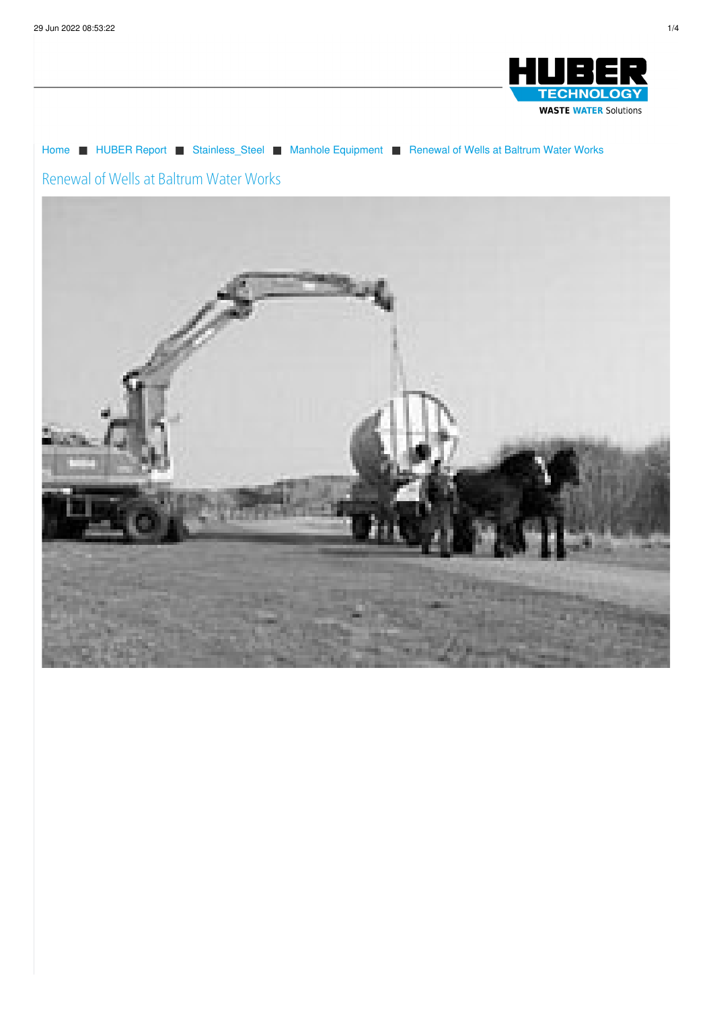

## [Home](/) ■ [HUBER](/huber-report.html) Report ■ [Stainless\\_Steel](/huber-report/ablage-berichte/edelstahlausruestungsteile.html) ■ Manhole [Equipment](/huber-report/ablage-berichte/edelstahlausruestungsteile/manhole-equipment.html) ■ [Renewal](/huber-report/ablage-berichte/edelstahlausruestungsteile/manhole-equipment/renewal-of-wells-at-baltrum-water-works.html) of Wells at Baltrum Water Works

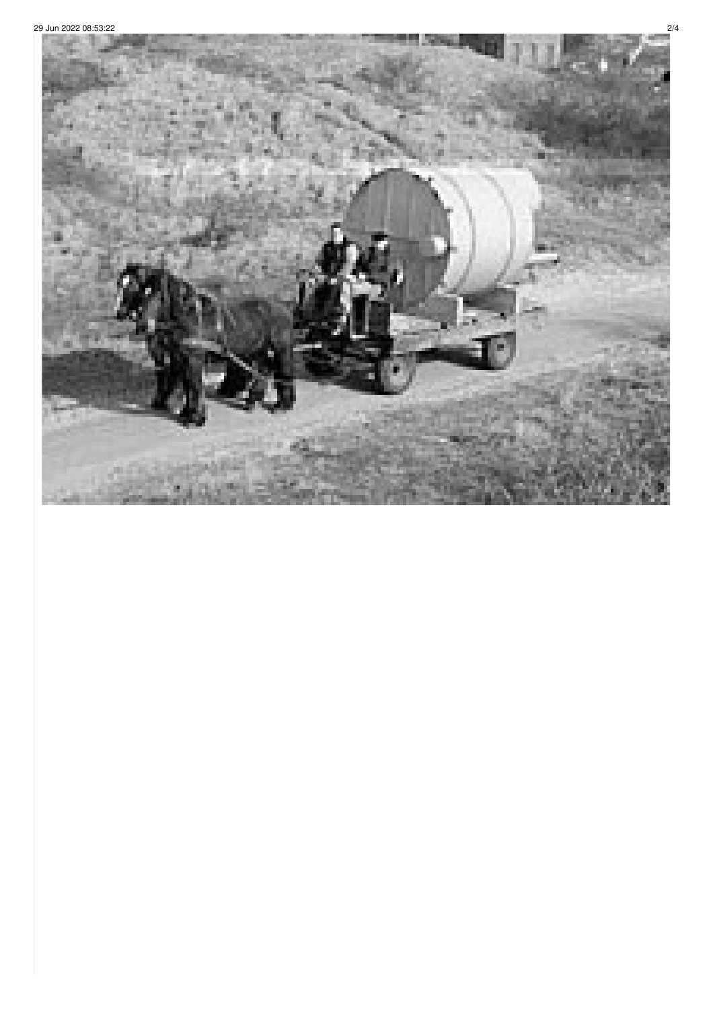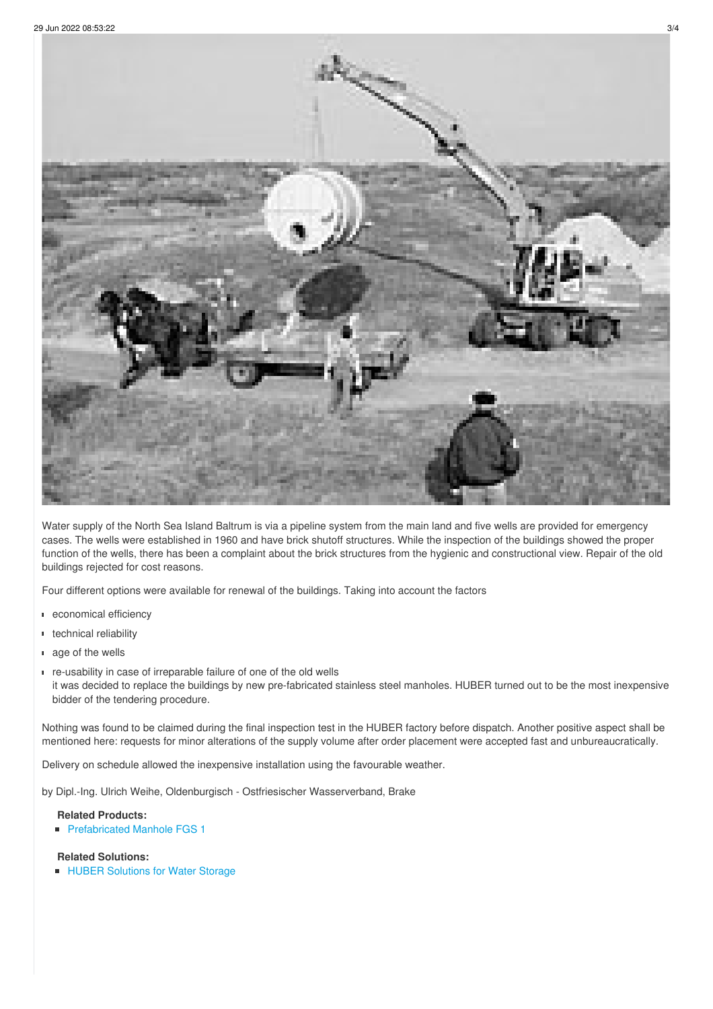

Water supply of the North Sea Island Baltrum is via a pipeline system from the main land and five wells are provided for emergency cases. The wells were established in 1960 and have brick shutoff structures. While the inspection of the buildings showed the proper function of the wells, there has been a complaint about the brick structures from the hygienic and constructional view. Repair of the old buildings rejected for cost reasons.

Four different options were available for renewal of the buildings. Taking into account the factors

- economical efficiency
- **technical reliability**
- age of the wells
- re-usability in case of irreparable failure of one of the old wells  $\mathbf{r}$ it was decided to replace the buildings by new pre-fabricated stainless steel manholes. HUBER turned out to be the most inexpensive bidder of the tendering procedure.

Nothing was found to be claimed during the final inspection test in the HUBER factory before dispatch. Another positive aspect shall be mentioned here: requests for minor alterations of the supply volume after order placement were accepted fast and unbureaucratically.

Delivery on schedule allowed the inexpensive installation using the favourable weather.

by Dipl.-Ing. Ulrich Weihe, Oldenburgisch - Ostfriesischer Wasserverband, Brake

## **Related Products:**

**[Prefabricated](/products/stainless-steel-equipment/manhole-equipment/finished-manholes.html) Manhole FGS 1** 

## **Related Solutions:**

**HUBER [Solutions](/solutions/drinking-water-supply/storage.html) for Water Storage**